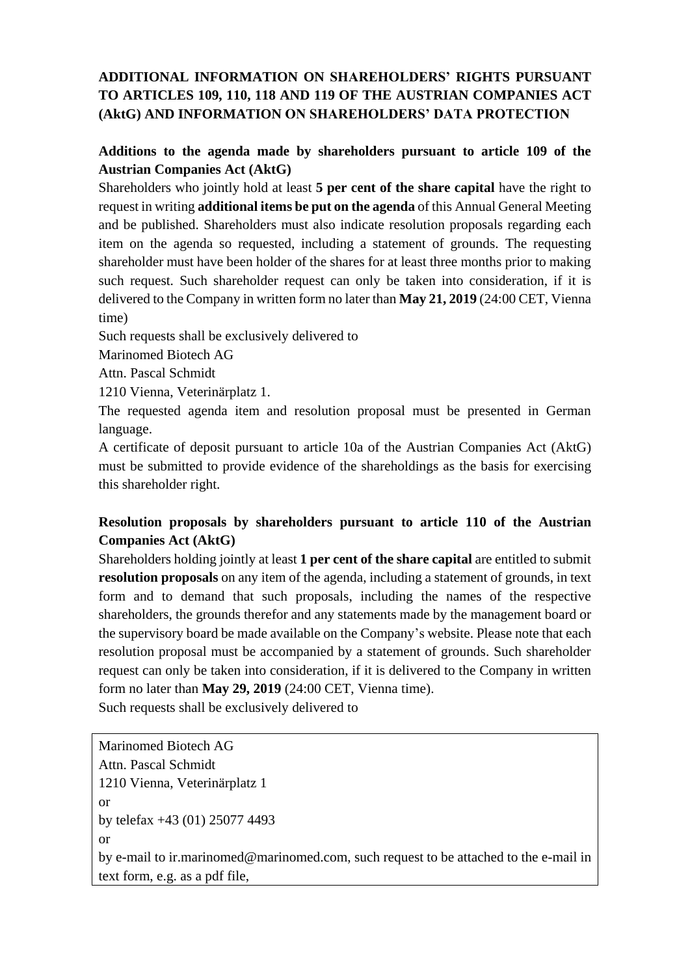# **ADDITIONAL INFORMATION ON SHAREHOLDERS' RIGHTS PURSUANT TO ARTICLES 109, 110, 118 AND 119 OF THE AUSTRIAN COMPANIES ACT (AktG) AND INFORMATION ON SHAREHOLDERS' DATA PROTECTION**

### **Additions to the agenda made by shareholders pursuant to article 109 of the Austrian Companies Act (AktG)**

Shareholders who jointly hold at least **5 per cent of the share capital** have the right to request in writing **additional items be put on the agenda** of this Annual General Meeting and be published. Shareholders must also indicate resolution proposals regarding each item on the agenda so requested, including a statement of grounds. The requesting shareholder must have been holder of the shares for at least three months prior to making such request. Such shareholder request can only be taken into consideration, if it is delivered to the Company in written form no later than **May 21, 2019** (24:00 CET, Vienna time)

Such requests shall be exclusively delivered to

Marinomed Biotech AG

Attn. Pascal Schmidt

1210 Vienna, Veterinärplatz 1.

The requested agenda item and resolution proposal must be presented in German language.

A certificate of deposit pursuant to article 10a of the Austrian Companies Act (AktG) must be submitted to provide evidence of the shareholdings as the basis for exercising this shareholder right.

#### **Resolution proposals by shareholders pursuant to article 110 of the Austrian Companies Act (AktG)**

Shareholders holding jointly at least **1 per cent of the share capital** are entitled to submit **resolution proposals** on any item of the agenda, including a statement of grounds, in text form and to demand that such proposals, including the names of the respective shareholders, the grounds therefor and any statements made by the management board or the supervisory board be made available on the Company's website. Please note that each resolution proposal must be accompanied by a statement of grounds. Such shareholder request can only be taken into consideration, if it is delivered to the Company in written form no later than **May 29, 2019** (24:00 CET, Vienna time).

Such requests shall be exclusively delivered to

```
Marinomed Biotech AG
Attn. Pascal Schmidt
1210 Vienna, Veterinärplatz 1
or
by telefax +43 (01) 25077 4493
or
by e-mail to ir.marinomed@marinomed.com, such request to be attached to the e-mail in 
text form, e.g. as a pdf file,
```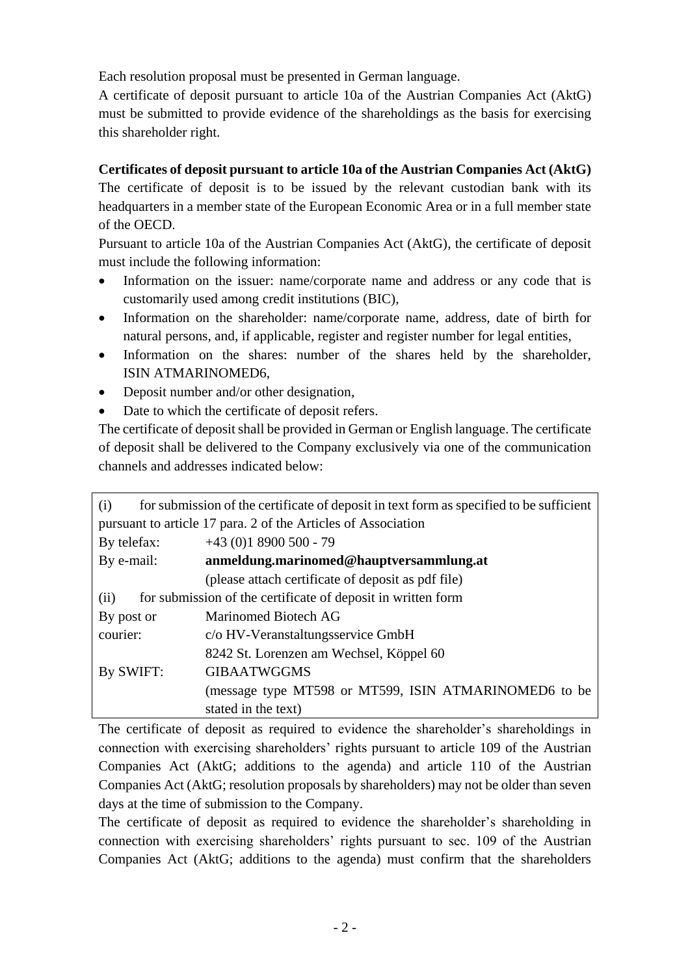Each resolution proposal must be presented in German language.

A certificate of deposit pursuant to article 10a of the Austrian Companies Act (AktG) must be submitted to provide evidence of the shareholdings as the basis for exercising this shareholder right.

# **Certificates of deposit pursuant to article 10a of the Austrian Companies Act (AktG)**

The certificate of deposit is to be issued by the relevant custodian bank with its headquarters in a member state of the European Economic Area or in a full member state of the OECD.

Pursuant to article 10a of the Austrian Companies Act (AktG), the certificate of deposit must include the following information:

- Information on the issuer: name/corporate name and address or any code that is customarily used among credit institutions (BIC),
- Information on the shareholder: name/corporate name, address, date of birth for natural persons, and, if applicable, register and register number for legal entities,
- Information on the shares: number of the shares held by the shareholder, ISIN ATMARINOMED6,
- Deposit number and/or other designation,
- Date to which the certificate of deposit refers.

The certificate of deposit shall be provided in German or English language. The certificate of deposit shall be delivered to the Company exclusively via one of the communication channels and addresses indicated below:

| (i)                                                                  | for submission of the certificate of deposit in text form as specified to be sufficient |
|----------------------------------------------------------------------|-----------------------------------------------------------------------------------------|
| pursuant to article 17 para. 2 of the Articles of Association        |                                                                                         |
| By telefax:                                                          | $+43$ (0)1 8900 500 - 79                                                                |
| By e-mail:                                                           | anmeldung.marinomed@hauptversammlung.at                                                 |
|                                                                      | (please attach certificate of deposit as pdf file)                                      |
| for submission of the certificate of deposit in written form<br>(ii) |                                                                                         |
| By post or                                                           | Marinomed Biotech AG                                                                    |
| courier:                                                             | c/o HV-Veranstaltungsservice GmbH                                                       |
|                                                                      | 8242 St. Lorenzen am Wechsel, Köppel 60                                                 |
| By SWIFT:                                                            | <b>GIBAATWGGMS</b>                                                                      |
|                                                                      | (message type MT598 or MT599, ISIN ATMARINOMED6 to be                                   |
|                                                                      | stated in the text)                                                                     |

The certificate of deposit as required to evidence the shareholder's shareholdings in connection with exercising shareholders' rights pursuant to article 109 of the Austrian Companies Act (AktG; additions to the agenda) and article 110 of the Austrian Companies Act (AktG; resolution proposals by shareholders) may not be older than seven days at the time of submission to the Company.

The certificate of deposit as required to evidence the shareholder's shareholding in connection with exercising shareholders' rights pursuant to sec. 109 of the Austrian Companies Act (AktG; additions to the agenda) must confirm that the shareholders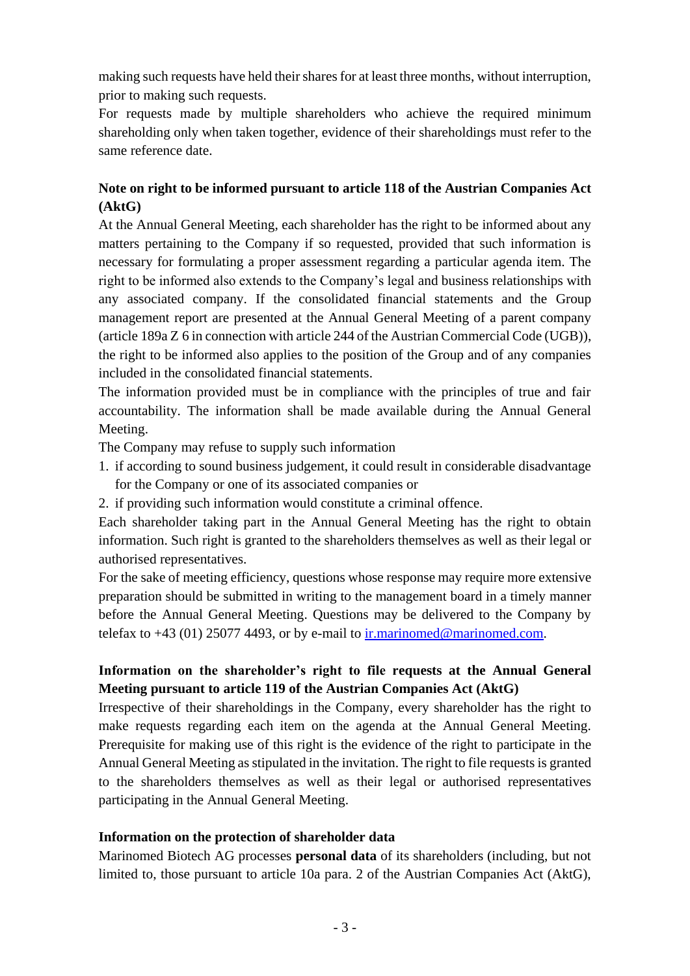making such requests have held their shares for at least three months, without interruption, prior to making such requests.

For requests made by multiple shareholders who achieve the required minimum shareholding only when taken together, evidence of their shareholdings must refer to the same reference date.

## **Note on right to be informed pursuant to article 118 of the Austrian Companies Act (AktG)**

At the Annual General Meeting, each shareholder has the right to be informed about any matters pertaining to the Company if so requested, provided that such information is necessary for formulating a proper assessment regarding a particular agenda item. The right to be informed also extends to the Company's legal and business relationships with any associated company. If the consolidated financial statements and the Group management report are presented at the Annual General Meeting of a parent company (article 189a Z 6 in connection with article 244 of the Austrian Commercial Code (UGB)), the right to be informed also applies to the position of the Group and of any companies included in the consolidated financial statements.

The information provided must be in compliance with the principles of true and fair accountability. The information shall be made available during the Annual General Meeting.

The Company may refuse to supply such information

- 1. if according to sound business judgement, it could result in considerable disadvantage for the Company or one of its associated companies or
- 2. if providing such information would constitute a criminal offence.

Each shareholder taking part in the Annual General Meeting has the right to obtain information. Such right is granted to the shareholders themselves as well as their legal or authorised representatives.

For the sake of meeting efficiency, questions whose response may require more extensive preparation should be submitted in writing to the management board in a timely manner before the Annual General Meeting. Questions may be delivered to the Company by telefax to  $+43$  (01) 25077 4493, or by e-mail to [ir.marinomed@marinomed.com.](mailto:ir.marinomed@marinomed.com)

## **Information on the shareholder's right to file requests at the Annual General Meeting pursuant to article 119 of the Austrian Companies Act (AktG)**

Irrespective of their shareholdings in the Company, every shareholder has the right to make requests regarding each item on the agenda at the Annual General Meeting. Prerequisite for making use of this right is the evidence of the right to participate in the Annual General Meeting as stipulated in the invitation. The right to file requests is granted to the shareholders themselves as well as their legal or authorised representatives participating in the Annual General Meeting.

#### **Information on the protection of shareholder data**

Marinomed Biotech AG processes **personal data** of its shareholders (including, but not limited to, those pursuant to article 10a para. 2 of the Austrian Companies Act (AktG),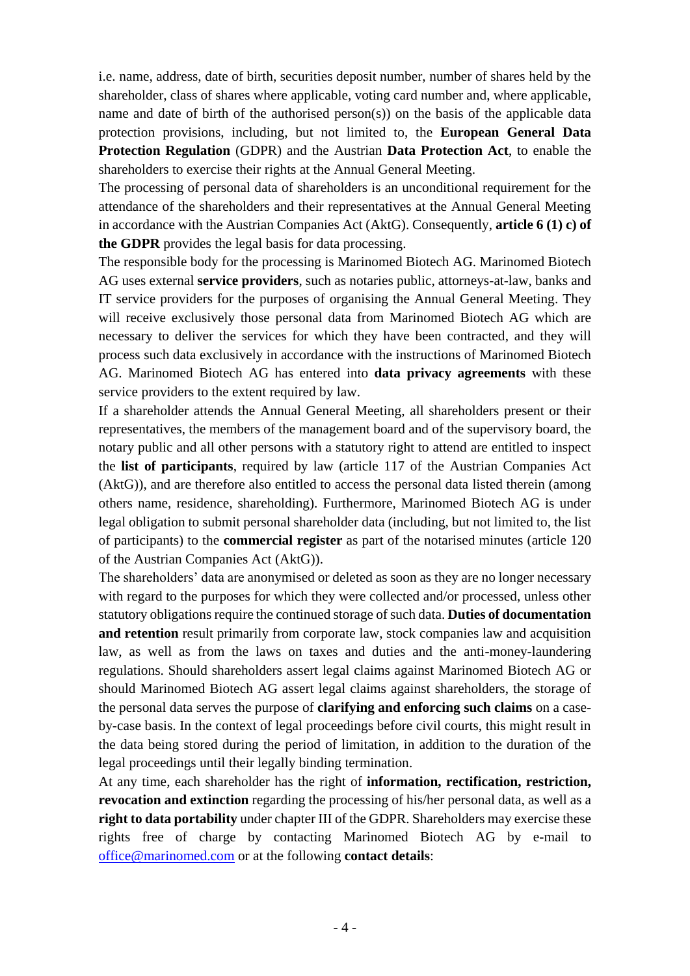i.e. name, address, date of birth, securities deposit number, number of shares held by the shareholder, class of shares where applicable, voting card number and, where applicable, name and date of birth of the authorised person(s)) on the basis of the applicable data protection provisions, including, but not limited to, the **European General Data Protection Regulation** (GDPR) and the Austrian **Data Protection Act**, to enable the shareholders to exercise their rights at the Annual General Meeting.

The processing of personal data of shareholders is an unconditional requirement for the attendance of the shareholders and their representatives at the Annual General Meeting in accordance with the Austrian Companies Act (AktG). Consequently, **article 6 (1) c) of the GDPR** provides the legal basis for data processing.

The responsible body for the processing is Marinomed Biotech AG. Marinomed Biotech AG uses external **service providers**, such as notaries public, attorneys-at-law, banks and IT service providers for the purposes of organising the Annual General Meeting. They will receive exclusively those personal data from Marinomed Biotech AG which are necessary to deliver the services for which they have been contracted, and they will process such data exclusively in accordance with the instructions of Marinomed Biotech AG. Marinomed Biotech AG has entered into **data privacy agreements** with these service providers to the extent required by law.

If a shareholder attends the Annual General Meeting, all shareholders present or their representatives, the members of the management board and of the supervisory board, the notary public and all other persons with a statutory right to attend are entitled to inspect the **list of participants**, required by law (article 117 of the Austrian Companies Act (AktG)), and are therefore also entitled to access the personal data listed therein (among others name, residence, shareholding). Furthermore, Marinomed Biotech AG is under legal obligation to submit personal shareholder data (including, but not limited to, the list of participants) to the **commercial register** as part of the notarised minutes (article 120 of the Austrian Companies Act (AktG)).

The shareholders' data are anonymised or deleted as soon as they are no longer necessary with regard to the purposes for which they were collected and/or processed, unless other statutory obligations require the continued storage of such data. **Duties of documentation and retention** result primarily from corporate law, stock companies law and acquisition law, as well as from the laws on taxes and duties and the anti-money-laundering regulations. Should shareholders assert legal claims against Marinomed Biotech AG or should Marinomed Biotech AG assert legal claims against shareholders, the storage of the personal data serves the purpose of **clarifying and enforcing such claims** on a caseby-case basis. In the context of legal proceedings before civil courts, this might result in the data being stored during the period of limitation, in addition to the duration of the legal proceedings until their legally binding termination.

At any time, each shareholder has the right of **information, rectification, restriction, revocation and extinction** regarding the processing of his/her personal data, as well as a **right to data portability** under chapter III of the GDPR. Shareholders may exercise these rights free of charge by contacting Marinomed Biotech AG by e-mail to [office@marinomed.com](mailto:office@marinomed.com) or at the following **contact details**: